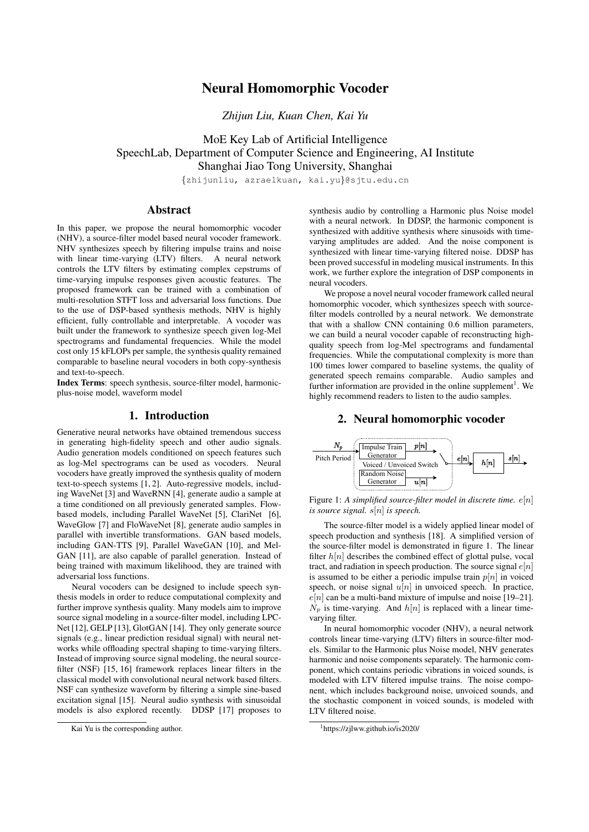# Neural Homomorphic Vocoder

*Zhijun Liu, Kuan Chen, Kai Yu*

MoE Key Lab of Artificial Intelligence SpeechLab, Department of Computer Science and Engineering, AI Institute Shanghai Jiao Tong University, Shanghai

{zhijunliu, azraelkuan, kai.yu}@sjtu.edu.cn

# Abstract

In this paper, we propose the neural homomorphic vocoder (NHV), a source-filter model based neural vocoder framework. NHV synthesizes speech by filtering impulse trains and noise with linear time-varying (LTV) filters. A neural network controls the LTV filters by estimating complex cepstrums of time-varying impulse responses given acoustic features. The proposed framework can be trained with a combination of multi-resolution STFT loss and adversarial loss functions. Due to the use of DSP-based synthesis methods, NHV is highly efficient, fully controllable and interpretable. A vocoder was built under the framework to synthesize speech given log-Mel spectrograms and fundamental frequencies. While the model cost only 15 kFLOPs per sample, the synthesis quality remained comparable to baseline neural vocoders in both copy-synthesis and text-to-speech.

Index Terms: speech synthesis, source-filter model, harmonicplus-noise model, waveform model

# 1. Introduction

Generative neural networks have obtained tremendous success in generating high-fidelity speech and other audio signals. Audio generation models conditioned on speech features such as log-Mel spectrograms can be used as vocoders. Neural vocoders have greatly improved the synthesis quality of modern text-to-speech systems [1, 2]. Auto-regressive models, including WaveNet [3] and WaveRNN [4], generate audio a sample at a time conditioned on all previously generated samples. Flowbased models, including Parallel WaveNet [5], ClariNet [6], WaveGlow [7] and FloWaveNet [8], generate audio samples in parallel with invertible transformations. GAN based models, including GAN-TTS [9], Parallel WaveGAN [10], and Mel-GAN [11], are also capable of parallel generation. Instead of being trained with maximum likelihood, they are trained with adversarial loss functions.

Neural vocoders can be designed to include speech synthesis models in order to reduce computational complexity and further improve synthesis quality. Many models aim to improve source signal modeling in a source-filter model, including LPC-Net [12], GELP [13], GlotGAN [14]. They only generate source signals (e.g., linear prediction residual signal) with neural networks while offloading spectral shaping to time-varying filters. Instead of improving source signal modeling, the neural sourcefilter (NSF) [15, 16] framework replaces linear filters in the classical model with convolutional neural network based filters. NSF can synthesize waveform by filtering a simple sine-based excitation signal [15]. Neural audio synthesis with sinusoidal models is also explored recently. DDSP [17] proposes to

synthesis audio by controlling a Harmonic plus Noise model with a neural network. In DDSP, the harmonic component is synthesized with additive synthesis where sinusoids with timevarying amplitudes are added. And the noise component is synthesized with linear time-varying filtered noise. DDSP has been proved successful in modeling musical instruments. In this work, we further explore the integration of DSP components in neural vocoders.

We propose a novel neural vocoder framework called neural homomorphic vocoder, which synthesizes speech with sourcefilter models controlled by a neural network. We demonstrate that with a shallow CNN containing 0.6 million parameters, we can build a neural vocoder capable of reconstructing highquality speech from log-Mel spectrograms and fundamental frequencies. While the computational complexity is more than 100 times lower compared to baseline systems, the quality of generated speech remains comparable. Audio samples and further information are provided in the online supplement<sup>1</sup>. We highly recommend readers to listen to the audio samples.

# 2. Neural homomorphic vocoder



Figure 1: *A simplified source-filter model in discrete time.* e[n] *is source signal.* s[n] *is speech.*

The source-filter model is a widely applied linear model of speech production and synthesis [18]. A simplified version of the source-filter model is demonstrated in figure 1. The linear filter  $h[n]$  describes the combined effect of glottal pulse, vocal tract, and radiation in speech production. The source signal  $e[n]$ is assumed to be either a periodic impulse train  $p[n]$  in voiced speech, or noise signal  $u[n]$  in unvoiced speech. In practice,  $e[n]$  can be a multi-band mixture of impulse and noise [19–21].  $N_p$  is time-varying. And  $h[n]$  is replaced with a linear timevarying filter.

In neural homomorphic vocoder (NHV), a neural network controls linear time-varying (LTV) filters in source-filter models. Similar to the Harmonic plus Noise model, NHV generates harmonic and noise components separately. The harmonic component, which contains periodic vibrations in voiced sounds, is modeled with LTV filtered impulse trains. The noise component, which includes background noise, unvoiced sounds, and the stochastic component in voiced sounds, is modeled with LTV filtered noise.

Kai Yu is the corresponding author.

<sup>1</sup>https://zjlww.github.io/is2020/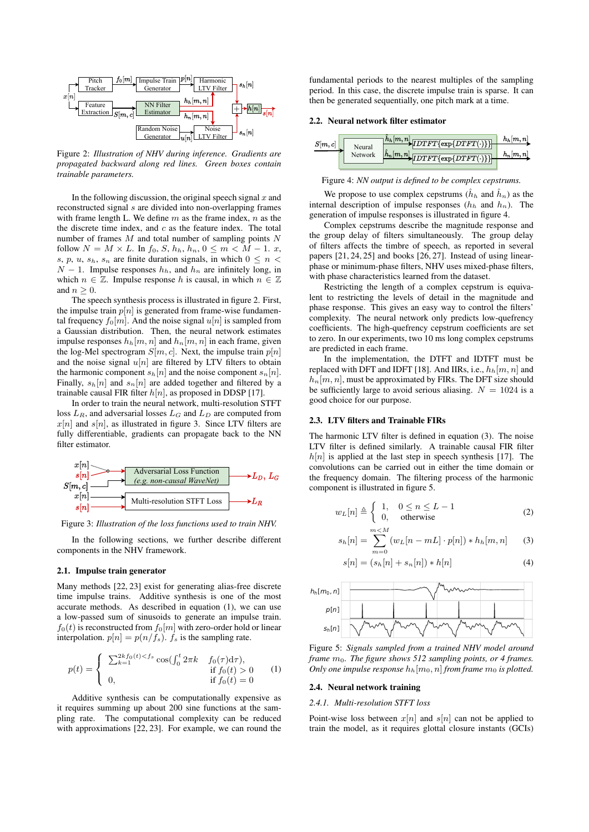

Figure 2: *Illustration of NHV during inference. Gradients are propagated backward along red lines. Green boxes contain trainable parameters.*

In the following discussion, the original speech signal  $x$  and reconstructed signal s are divided into non-overlapping frames with frame length L. We define  $m$  as the frame index,  $n$  as the the discrete time index, and  $c$  as the feature index. The total number of frames  $M$  and total number of sampling points  $N$ follow  $N = M \times L$ . In  $f_0, S, h_h, h_n, 0 \le m < M - 1$ . x, s, p, u,  $s_h$ , s<sub>n</sub> are finite duration signals, in which  $0 \le n <$  $N-1$ . Impulse responses  $h_h$ , and  $h_n$  are infinitely long, in which  $n \in \mathbb{Z}$ . Impulse response h is causal, in which  $n \in \mathbb{Z}$ and  $n \geq 0$ .

The speech synthesis process is illustrated in figure 2. First, the impulse train  $p[n]$  is generated from frame-wise fundamental frequency  $f_0[m]$ . And the noise signal  $u[n]$  is sampled from a Gaussian distribution. Then, the neural network estimates impulse responses  $h_h[m, n]$  and  $h_n[m, n]$  in each frame, given the log-Mel spectrogram  $S[m, c]$ . Next, the impulse train  $p[n]$ and the noise signal  $u[n]$  are filtered by LTV filters to obtain the harmonic component  $s_h[n]$  and the noise component  $s_h[n]$ . Finally,  $s_h[n]$  and  $s_h[n]$  are added together and filtered by a trainable causal FIR filter  $h[n]$ , as proposed in DDSP [17].

In order to train the neural network, multi-resolution STFT loss  $L_R$ , and adversarial losses  $L_G$  and  $L_D$  are computed from  $x[n]$  and  $s[n]$ , as illustrated in figure 3. Since LTV filters are fully differentiable, gradients can propagate back to the NN filter estimator.



Figure 3: *Illustration of the loss functions used to train NHV.*

In the following sections, we further describe different components in the NHV framework.

### 2.1. Impulse train generator

Many methods [22, 23] exist for generating alias-free discrete time impulse trains. Additive synthesis is one of the most accurate methods. As described in equation (1), we can use a low-passed sum of sinusoids to generate an impulse train.  $f_0(t)$  is reconstructed from  $f_0[m]$  with zero-order hold or linear interpolation.  $p[n] = p(n/f_s)$ .  $f_s$  is the sampling rate.

$$
p(t) = \begin{cases} \sum_{k=1}^{2k} f_0(t) < f_s \cos\left(\int_0^t 2\pi k - f_0(\tau) \, d\tau\right), \\ 0, & \text{if } f_0(t) > 0 \\ 0, & \text{if } f_0(t) = 0 \end{cases} \tag{1}
$$

Additive synthesis can be computationally expensive as it requires summing up about 200 sine functions at the sampling rate. The computational complexity can be reduced with approximations [22, 23]. For example, we can round the fundamental periods to the nearest multiples of the sampling period. In this case, the discrete impulse train is sparse. It can then be generated sequentially, one pitch mark at a time.

### 2.2. Neural network filter estimator



Figure 4: *NN output is defined to be complex cepstrums.*

We propose to use complex cepstrums  $(h_h$  and  $\hat{h}_n)$  as the internal description of impulse responses  $(h_h$  and  $h_n)$ . The generation of impulse responses is illustrated in figure 4.

Complex cepstrums describe the magnitude response and the group delay of filters simultaneously. The group delay of filters affects the timbre of speech, as reported in several papers [21, 24, 25] and books [26, 27]. Instead of using linearphase or minimum-phase filters, NHV uses mixed-phase filters, with phase characteristics learned from the dataset.

Restricting the length of a complex cepstrum is equivalent to restricting the levels of detail in the magnitude and phase response. This gives an easy way to control the filters' complexity. The neural network only predicts low-quefrency coefficients. The high-quefrency cepstrum coefficients are set to zero. In our experiments, two 10 ms long complex cepstrums are predicted in each frame.

In the implementation, the DTFT and IDTFT must be replaced with DFT and IDFT [18]. And IIRs, i.e.,  $h_h[m, n]$  and  $h_n[m, n]$ , must be approximated by FIRs. The DFT size should be sufficiently large to avoid serious aliasing.  $N = 1024$  is a good choice for our purpose.

#### 2.3. LTV filters and Trainable FIRs

The harmonic LTV filter is defined in equation (3). The noise LTV filter is defined similarly. A trainable causal FIR filter  $h[n]$  is applied at the last step in speech synthesis [17]. The convolutions can be carried out in either the time domain or the frequency domain. The filtering process of the harmonic component is illustrated in figure 5.

$$
w_L[n] \triangleq \begin{cases} 1, & 0 \le n \le L - 1 \\ 0, & \text{otherwise} \end{cases}
$$
 (2)

$$
s_h[n] = \sum_{m=0}^{m < M} (w_L[n-mL] \cdot p[n]) * h_h[m,n] \tag{3}
$$

$$
s[n] = (s_h[n] + s_h[n]) * h[n]
$$
 (4)



Figure 5: *Signals sampled from a trained NHV model around frame* m0*. The figure shows 512 sampling points, or 4 frames. Only one impulse response*  $h_h[m_0, n]$  *from frame*  $m_0$  *is plotted.* 

### 2.4. Neural network training

### *2.4.1. Multi-resolution STFT loss*

Point-wise loss between  $x[n]$  and  $s[n]$  can not be applied to train the model, as it requires glottal closure instants (GCIs)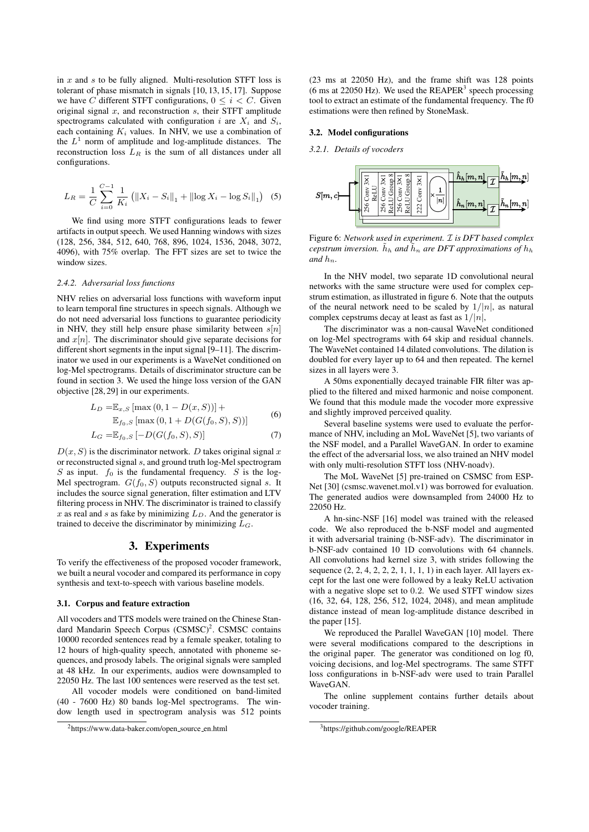in  $x$  and  $s$  to be fully aligned. Multi-resolution STFT loss is tolerant of phase mismatch in signals [10, 13, 15, 17]. Suppose we have C different STFT configurations,  $0 \leq i < C$ . Given original signal  $x$ , and reconstruction  $s$ , their STFT amplitude spectrograms calculated with configuration i are  $X_i$  and  $S_i$ , each containing  $K_i$  values. In NHV, we use a combination of the  $L^1$  norm of amplitude and log-amplitude distances. The reconstruction loss  $L_R$  is the sum of all distances under all configurations.

$$
L_R = \frac{1}{C} \sum_{i=0}^{C-1} \frac{1}{K_i} \left( \|X_i - S_i\|_1 + \|\log X_i - \log S_i\|_1 \right) \tag{5}
$$

We find using more STFT configurations leads to fewer artifacts in output speech. We used Hanning windows with sizes (128, 256, 384, 512, 640, 768, 896, 1024, 1536, 2048, 3072, 4096), with 75% overlap. The FFT sizes are set to twice the window sizes.

### *2.4.2. Adversarial loss functions*

NHV relies on adversarial loss functions with waveform input to learn temporal fine structures in speech signals. Although we do not need adversarial loss functions to guarantee periodicity in NHV, they still help ensure phase similarity between  $s[n]$ and  $x[n]$ . The discriminator should give separate decisions for different short segments in the input signal [9–11]. The discriminator we used in our experiments is a WaveNet conditioned on log-Mel spectrograms. Details of discriminator structure can be found in section 3. We used the hinge loss version of the GAN objective [28, 29] in our experiments.

$$
L_D = \mathbb{E}_{x,S} [\max(0, 1 - D(x, S))] +
$$
  

$$
\mathbb{E}_{f_0,S} [\max(0, 1 + D(G(f_0, S), S))]
$$
 (6)

$$
L_G = \mathbb{E}_{f_0, S} [-D(G(f_0, S), S)] \tag{7}
$$

 $D(x, S)$  is the discriminator network. D takes original signal x or reconstructed signal s, and ground truth log-Mel spectrogram  $S$  as input.  $f_0$  is the fundamental frequency.  $S$  is the log-Mel spectrogram.  $G(f_0, S)$  outputs reconstructed signal s. It includes the source signal generation, filter estimation and LTV filtering process in NHV. The discriminator is trained to classify x as real and s as fake by minimizing  $L<sub>D</sub>$ . And the generator is trained to deceive the discriminator by minimizing  $L_G$ .

# 3. Experiments

To verify the effectiveness of the proposed vocoder framework, we built a neural vocoder and compared its performance in copy synthesis and text-to-speech with various baseline models.

#### 3.1. Corpus and feature extraction

All vocoders and TTS models were trained on the Chinese Standard Mandarin Speech Corpus (CSMSC)<sup>2</sup>. CSMSC contains 10000 recorded sentences read by a female speaker, totaling to 12 hours of high-quality speech, annotated with phoneme sequences, and prosody labels. The original signals were sampled at 48 kHz. In our experiments, audios were downsampled to 22050 Hz. The last 100 sentences were reserved as the test set.

All vocoder models were conditioned on band-limited (40 - 7600 Hz) 80 bands log-Mel spectrograms. The window length used in spectrogram analysis was 512 points (23 ms at 22050 Hz), and the frame shift was 128 points (6 ms at 22050 Hz). We used the  $REAPER^3$  speech processing tool to extract an estimate of the fundamental frequency. The f0 estimations were then refined by StoneMask.

### 3.2. Model configurations

*3.2.1. Details of vocoders*



Figure 6: *Network used in experiment.* I *is DFT based complex cepstrum inversion.*  $h_h$  *and*  $\bar{h}_n$  *are DFT approximations of*  $h_h$ *and*  $h_n$ 

In the NHV model, two separate 1D convolutional neural networks with the same structure were used for complex cepstrum estimation, as illustrated in figure 6. Note that the outputs of the neural network need to be scaled by  $1/|n|$ , as natural complex cepstrums decay at least as fast as  $1/|n|$ ,

The discriminator was a non-causal WaveNet conditioned on log-Mel spectrograms with 64 skip and residual channels. The WaveNet contained 14 dilated convolutions. The dilation is doubled for every layer up to 64 and then repeated. The kernel sizes in all layers were 3.

A 50ms exponentially decayed trainable FIR filter was applied to the filtered and mixed harmonic and noise component. We found that this module made the vocoder more expressive and slightly improved perceived quality.

Several baseline systems were used to evaluate the performance of NHV, including an MoL WaveNet [5], two variants of the NSF model, and a Parallel WaveGAN. In order to examine the effect of the adversarial loss, we also trained an NHV model with only multi-resolution STFT loss (NHV-noadv).

The MoL WaveNet [5] pre-trained on CSMSC from ESP-Net [30] (csmsc.wavenet.mol.v1) was borrowed for evaluation. The generated audios were downsampled from 24000 Hz to 22050 Hz.

A hn-sinc-NSF [16] model was trained with the released code. We also reproduced the b-NSF model and augmented it with adversarial training (b-NSF-adv). The discriminator in b-NSF-adv contained 10 1D convolutions with 64 channels. All convolutions had kernel size 3, with strides following the sequence (2, 2, 4, 2, 2, 2, 1, 1, 1, 1) in each layer. All layers except for the last one were followed by a leaky ReLU activation with a negative slope set to 0.2. We used STFT window sizes (16, 32, 64, 128, 256, 512, 1024, 2048), and mean amplitude distance instead of mean log-amplitude distance described in the paper [15].

We reproduced the Parallel WaveGAN [10] model. There were several modifications compared to the descriptions in the original paper. The generator was conditioned on log f0, voicing decisions, and log-Mel spectrograms. The same STFT loss configurations in b-NSF-adv were used to train Parallel WaveGAN.

The online supplement contains further details about vocoder training.

 $<sup>2</sup>$ https://www.data-baker.com/open\_source\_en.html</sup>

<sup>3</sup>https://github.com/google/REAPER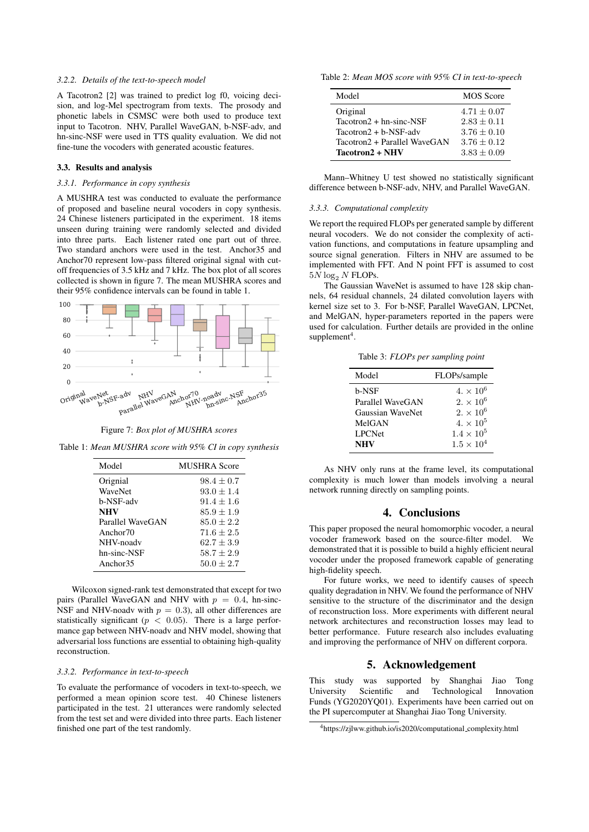### *3.2.2. Details of the text-to-speech model*

A Tacotron2 [2] was trained to predict log f0, voicing decision, and log-Mel spectrogram from texts. The prosody and phonetic labels in CSMSC were both used to produce text input to Tacotron. NHV, Parallel WaveGAN, b-NSF-adv, and hn-sinc-NSF were used in TTS quality evaluation. We did not fine-tune the vocoders with generated acoustic features.

### 3.3. Results and analysis

### *3.3.1. Performance in copy synthesis*

A MUSHRA test was conducted to evaluate the performance of proposed and baseline neural vocoders in copy synthesis. 24 Chinese listeners participated in the experiment. 18 items unseen during training were randomly selected and divided into three parts. Each listener rated one part out of three. Two standard anchors were used in the test. Anchor35 and Anchor70 represent low-pass filtered original signal with cutoff frequencies of 3.5 kHz and 7 kHz. The box plot of all scores collected is shown in figure 7. The mean MUSHRA scores and their 95% confidence intervals can be found in table 1.





Table 1: *Mean MUSHRA score with 95% CI in copy synthesis*

| Model                | <b>MUSHRA</b> Score |
|----------------------|---------------------|
| Orignial             | $98.4 + 0.7$        |
| WaveNet              | $93.0 + 1.4$        |
| b-NSF-adv            | $91.4 + 1.6$        |
| <b>NHV</b>           | $85.9 + 1.9$        |
| Parallel WaveGAN     | $85.0 + 2.2$        |
| Anchor <sub>70</sub> | $71.6 + 2.5$        |
| NHV-noadv            | $62.7 + 3.9$        |
| hn-sinc-NSF          | $58.7 + 2.9$        |
| Anchor <sub>35</sub> | $50.0 + 2.7$        |

Wilcoxon signed-rank test demonstrated that except for two pairs (Parallel WaveGAN and NHV with  $p = 0.4$ , hn-sinc-NSF and NHV-noadv with  $p = 0.3$ ), all other differences are statistically significant ( $p < 0.05$ ). There is a large performance gap between NHV-noadv and NHV model, showing that adversarial loss functions are essential to obtaining high-quality reconstruction.

#### *3.3.2. Performance in text-to-speech*

To evaluate the performance of vocoders in text-to-speech, we performed a mean opinion score test. 40 Chinese listeners participated in the test. 21 utterances were randomly selected from the test set and were divided into three parts. Each listener finished one part of the test randomly.

Table 2: *Mean MOS score with 95% CI in text-to-speech*

| Model                        | <b>MOS</b> Score |
|------------------------------|------------------|
| Original                     | $4.71 + 0.07$    |
| $Tacotron2 + hn-sinc-NSF$    | $2.83 \pm 0.11$  |
| $Tactoron2 + b-NSF-adv$      | $3.76 \pm 0.10$  |
| Tacotron2 + Parallel WaveGAN | $3.76 + 0.12$    |
| Tacotron2 + NHV              | $3.83 + 0.09$    |

Mann–Whitney U test showed no statistically significant difference between b-NSF-adv, NHV, and Parallel WaveGAN.

### *3.3.3. Computational complexity*

We report the required FLOPs per generated sample by different neural vocoders. We do not consider the complexity of activation functions, and computations in feature upsampling and source signal generation. Filters in NHV are assumed to be implemented with FFT. And N point FFT is assumed to cost  $5\overline{N} \log_2 N$  FLOPs.

The Gaussian WaveNet is assumed to have 128 skip channels, 64 residual channels, 24 dilated convolution layers with kernel size set to 3. For b-NSF, Parallel WaveGAN, LPCNet, and MelGAN, hyper-parameters reported in the papers were used for calculation. Further details are provided in the online  $supplement<sup>4</sup>$ .

Table 3: *FLOPs per sampling point*

| Model            | FLOPs/sample                |
|------------------|-----------------------------|
| b-NSF            | $4. \times 10^{6}$          |
| Parallel WaveGAN | $2. \times 10^6$            |
| Gaussian WaveNet | $2. \times 10^6$            |
| MelGAN           | 4. $\times$ 10 <sup>5</sup> |
| <b>LPCNet</b>    | $1.4\times10^5$             |
| <b>NHV</b>       | $1.5 \times 10^{4}$         |

As NHV only runs at the frame level, its computational complexity is much lower than models involving a neural network running directly on sampling points.

# 4. Conclusions

This paper proposed the neural homomorphic vocoder, a neural vocoder framework based on the source-filter model. We demonstrated that it is possible to build a highly efficient neural vocoder under the proposed framework capable of generating high-fidelity speech.

For future works, we need to identify causes of speech quality degradation in NHV. We found the performance of NHV sensitive to the structure of the discriminator and the design of reconstruction loss. More experiments with different neural network architectures and reconstruction losses may lead to better performance. Future research also includes evaluating and improving the performance of NHV on different corpora.

# 5. Acknowledgement

This study was supported by Shanghai Jiao Tong University Scientific and Technological Innovation Funds (YG2020YQ01). Experiments have been carried out on the PI supercomputer at Shanghai Jiao Tong University.

<sup>4</sup>https://zjlww.github.io/is2020/computational complexity.html